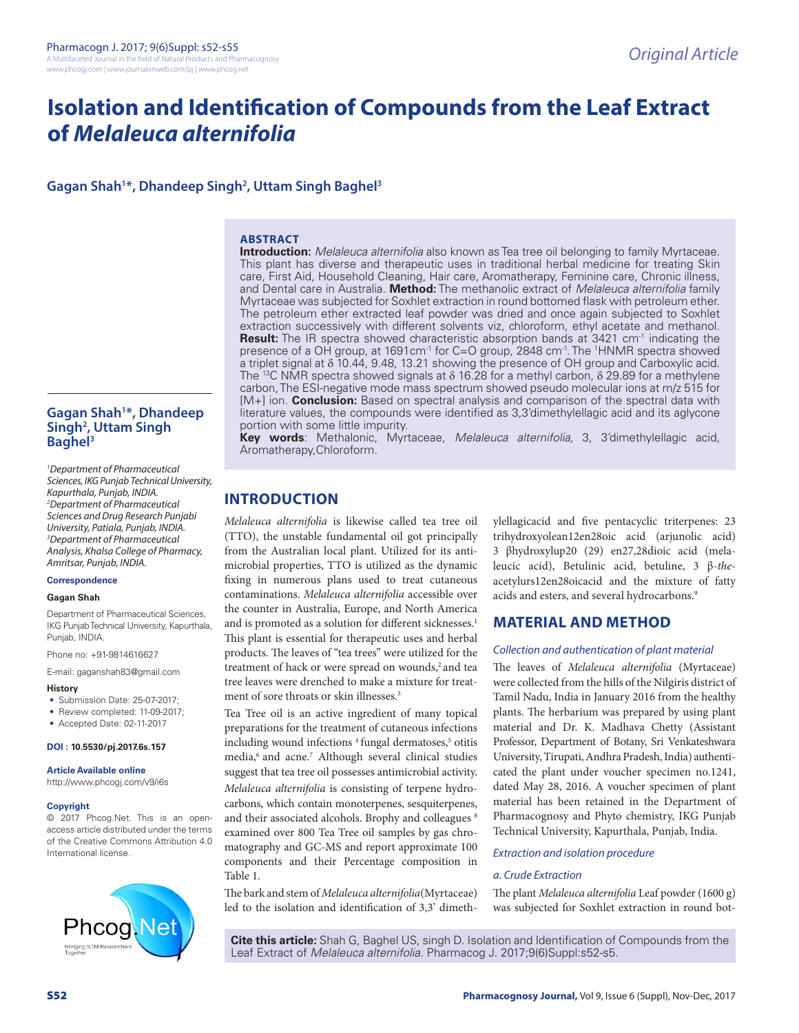# **Isolation and Identification of Compounds from the Leaf Extract of** *Melaleuca alternifolia*

### **Gagan Shah1 \*, Dhandeep Singh2 , Uttam Singh Baghel3**

#### **ABSTRACT**

**Introduction:** *Melaleuca alternifolia* also known as Tea tree oil belonging to family Myrtaceae. This plant has diverse and therapeutic uses in traditional herbal medicine for treating Skin care, First Aid, Household Cleaning, Hair care, Aromatherapy, Feminine care, Chronic illness, and Dental care in Australia. **Method:** The methanolic extract of *Melaleuca alternifolia* family Myrtaceae was subjected for Soxhlet extraction in round bottomed flask with petroleum ether. The petroleum ether extracted leaf powder was dried and once again subjected to Soxhlet extraction successively with different solvents viz, chloroform, ethyl acetate and methanol. **Result:** The IR spectra showed characteristic absorption bands at 3421 cm<sup>-1</sup> indicating the presence of a OH group, at 1691 cm<sup>-1</sup> for C=O group, 2848 cm<sup>-1</sup>. The <sup>1</sup>HNMR spectra showed a triplet signal at δ 10.44, 9.48, 13.21 showing the presence of OH group and Carboxylic acid. The <sup>13</sup>C NMR spectra showed signals at  $\delta$  16.28 for a methyl carbon,  $\delta$  29.89 for a methylene carbon, The ESI-negative mode mass spectrum showed pseudo molecular ions at m/z 515 for [M+] ion. **Conclusion:** Based on spectral analysis and comparison of the spectral data with literature values, the compounds were identified as 3,3'dimethylellagic acid and its aglycone portion with some little impurity.

**Key words**: Methalonic, Myrtaceae, *Melaleuca alternifolia,* 3, 3'dimethylellagic acid, Aromatherapy,Chloroform.

### **INTRODUCTION**

*Melaleuca alternifolia* is likewise called tea tree oil (TTO), the unstable fundamental oil got principally from the Australian local plant. Utilized for its antimicrobial properties, TTO is utilized as the dynamic fixing in numerous plans used to treat cutaneous contaminations. *Melaleuca alternifolia* accessible over the counter in Australia, Europe, and North America and is promoted as a solution for different sicknesses.<sup>1</sup> This plant is essential for therapeutic uses and herbal products. The leaves of "tea trees" were utilized for the treatment of hack or were spread on wounds,<sup>2</sup> and tea tree leaves were drenched to make a mixture for treatment of sore throats or skin illnesses.<sup>3</sup>

Tea Tree oil is an active ingredient of many topical preparations for the treatment of cutaneous infections including wound infections <sup>4</sup> fungal dermatoses,<sup>5</sup> otitis media,<sup>6</sup> and acne.<sup>7</sup> Although several clinical studies suggest that tea tree oil possesses antimicrobial activity. *Melaleuca alternifolia* is consisting of terpene hydrocarbons, which contain monoterpenes, sesquiterpenes, and their associated alcohols. Brophy and colleagues  $8$ examined over 800 Tea Tree oil samples by gas chromatography and GC-MS and report approximate 100 components and their Percentage composition in Table 1.

The bark and stem of *Melaleuca alternifolia*(Myrtaceae) led to the isolation and identification of 3,3' dimethylellagicacid and five pentacyclic triterpenes: 23 trihydroxyolean12en28oic acid (arjunolic acid) 3 βhydroxylup20 (29) en27,28dioic acid (melaleucic acid), Betulinic acid, betuline, 3 β-*the*acetylurs12en28oicacid and the mixture of fatty acids and esters, and several hydrocarbons.<sup>9</sup>

### **MATERIAL AND METHOD**

#### *Collection and authentication of plant material*

The leaves of *Melaleuca alternifolia* (Myrtaceae) were collected from the hills of the Nilgiris district of Tamil Nadu, India in January 2016 from the healthy plants. The herbarium was prepared by using plant material and Dr. K. Madhava Chetty (Assistant Professor, Department of Botany, Sri Venkateshwara University, Tirupati, Andhra Pradesh, India) authenticated the plant under voucher specimen no.1241, dated May 28, 2016. A voucher specimen of plant material has been retained in the Department of Pharmacognosy and Phyto chemistry, IKG Punjab Technical University, Kapurthala, Punjab, India.

#### *Extraction and isolation procedure*

### *a. Crude Extraction*

The plant *Melaleuca alternifolia* Leaf powder (1600 g) was subjected for Soxhlet extraction in round bot-

**Cite this article:** Shah G, Baghel US, singh D. Isolation and Identification of Compounds from the Leaf Extract of *Melaleuca alternifolia*. Pharmacog J. 2017;9(6)Suppl:s52-s5.

### **Gagan Shah1 \*, Dhandeep Singh2 , Uttam Singh Baghel3**

*1 Department of Pharmaceutical Sciences, IKG Punjab Technical University, Kapurthala, Punjab, INDIA. 2 Department of Pharmaceutical Sciences and Drug Research Punjabi University, Patiala, Punjab, INDIA. 3 Department of Pharmaceutical Analysis, Khalsa College of Pharmacy, Amritsar, Punjab, INDIA.*

#### **Correspondence**

#### **Gagan Shah**

Department of Pharmaceutical Sciences, IKG Punjab Technical University, Kapurthala, Punjab, INDIA.

Phone no: +91-9814616627

E-mail: gaganshah83@gmail.com

#### **History**

- Submission Date: 25-07-2017;
- Review completed: 11-09-2017;
- Accepted Date: 02-11-2017

#### **DOI : 10.5530/pj.2017.6s.157**

#### **Article Available online**

http://www.phcogj.com/v9/i6s

#### **Copyright**

© 2017 Phcog.Net. This is an openaccess article distributed under the terms of the Creative Commons Attribution 4.0 International license.

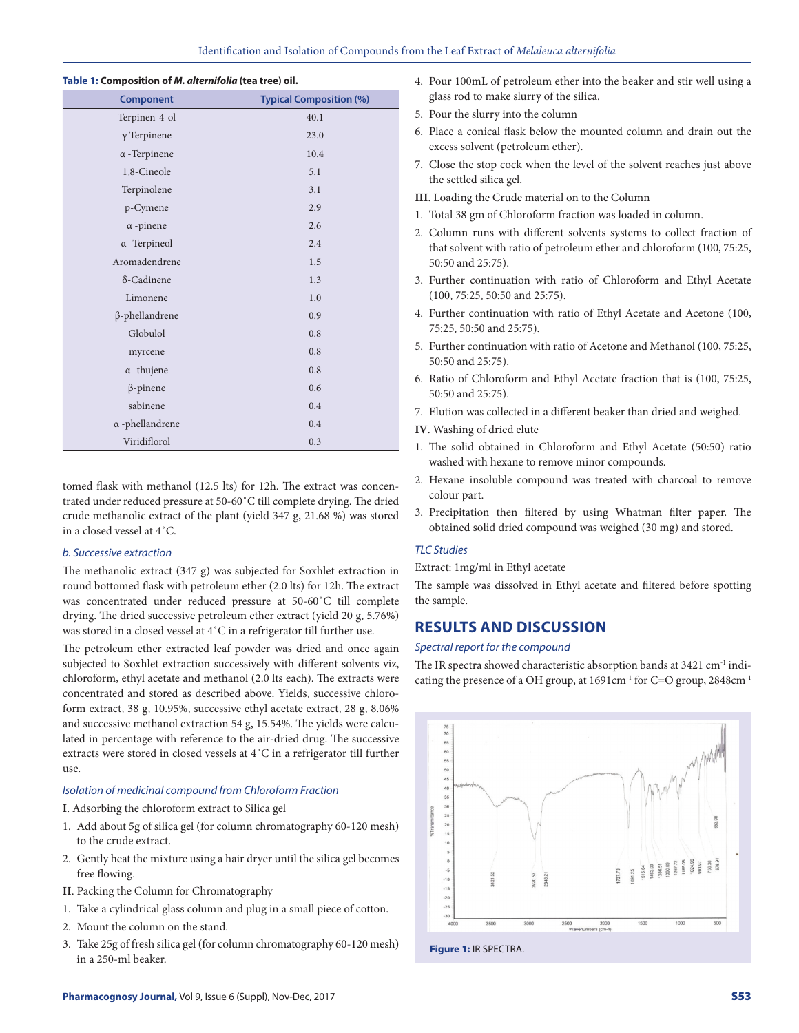#### **Table 1: Composition of** *M. alternifolia* **(tea tree) oil.**

| <b>Component</b>       | <b>Typical Composition (%)</b> |  |
|------------------------|--------------------------------|--|
| Terpinen-4-ol          | 40.1                           |  |
| $\gamma$ Terpinene     | 23.0                           |  |
| $\alpha$ -Terpinene    | 10.4                           |  |
| 1,8-Cineole            | 5.1                            |  |
| Terpinolene            | 3.1                            |  |
| p-Cymene               | 2.9                            |  |
| $\alpha$ -pinene       | 2.6                            |  |
| $\alpha$ -Terpineol    | 2.4                            |  |
| Aromadendrene          | 1.5                            |  |
| $\delta$ -Cadinene     | 1.3                            |  |
| Limonene               | 1.0                            |  |
| $\beta$ -phellandrene  | 0.9                            |  |
| Globulol               | 0.8                            |  |
| myrcene                | 0.8                            |  |
| $\alpha$ -thujene      | 0.8                            |  |
| $\beta$ -pinene        | 0.6                            |  |
| sabinene               | 0.4                            |  |
| $\alpha$ -phellandrene | 0.4                            |  |
| Viridiflorol           | 0.3                            |  |

tomed flask with methanol (12.5 lts) for 12h. The extract was concentrated under reduced pressure at 50-60˚C till complete drying. The dried crude methanolic extract of the plant (yield 347 g, 21.68 %) was stored in a closed vessel at 4˚C.

#### *b. Successive extraction*

The methanolic extract (347 g) was subjected for Soxhlet extraction in round bottomed flask with petroleum ether (2.0 lts) for 12h. The extract was concentrated under reduced pressure at 50-60˚C till complete drying. The dried successive petroleum ether extract (yield 20 g, 5.76%) was stored in a closed vessel at 4˚C in a refrigerator till further use.

The petroleum ether extracted leaf powder was dried and once again subjected to Soxhlet extraction successively with different solvents viz, chloroform, ethyl acetate and methanol (2.0 lts each). The extracts were concentrated and stored as described above. Yields, successive chloroform extract, 38 g, 10.95%, successive ethyl acetate extract, 28 g, 8.06% and successive methanol extraction 54 g, 15.54%. The yields were calculated in percentage with reference to the air-dried drug. The successive extracts were stored in closed vessels at 4˚C in a refrigerator till further use.

#### *Isolation of medicinal compound from Chloroform Fraction*

**I**. Adsorbing the chloroform extract to Silica gel

- 1. Add about 5g of silica gel (for column chromatography 60-120 mesh) to the crude extract.
- 2. Gently heat the mixture using a hair dryer until the silica gel becomes free flowing.
- **II**. Packing the Column for Chromatography
- 1. Take a cylindrical glass column and plug in a small piece of cotton.
- 2. Mount the column on the stand.
- 3. Take 25g of fresh silica gel (for column chromatography 60-120 mesh) in a 250-ml beaker.
- 4. Pour 100mL of petroleum ether into the beaker and stir well using a glass rod to make slurry of the silica.
- 5. Pour the slurry into the column
- 6. Place a conical flask below the mounted column and drain out the excess solvent (petroleum ether).
- 7. Close the stop cock when the level of the solvent reaches just above the settled silica gel.
- **III**. Loading the Crude material on to the Column
- 1. Total 38 gm of Chloroform fraction was loaded in column.
- 2. Column runs with different solvents systems to collect fraction of that solvent with ratio of petroleum ether and chloroform (100, 75:25, 50:50 and 25:75).
- 3. Further continuation with ratio of Chloroform and Ethyl Acetate (100, 75:25, 50:50 and 25:75).
- 4. Further continuation with ratio of Ethyl Acetate and Acetone (100, 75:25, 50:50 and 25:75).
- 5. Further continuation with ratio of Acetone and Methanol (100, 75:25, 50:50 and 25:75).
- 6. Ratio of Chloroform and Ethyl Acetate fraction that is (100, 75:25, 50:50 and 25:75).
- 7. Elution was collected in a different beaker than dried and weighed.
- **IV**. Washing of dried elute
- 1. The solid obtained in Chloroform and Ethyl Acetate (50:50) ratio washed with hexane to remove minor compounds.
- 2. Hexane insoluble compound was treated with charcoal to remove colour part.
- 3. Precipitation then filtered by using Whatman filter paper. The obtained solid dried compound was weighed (30 mg) and stored.

#### *TLC Studies*

Extract: 1mg/ml in Ethyl acetate

The sample was dissolved in Ethyl acetate and filtered before spotting the sample.

### **RESULTS AND DISCUSSION**

#### *Spectral report for the compound*

The IR spectra showed characteristic absorption bands at 3421 cm<sup>-1</sup> indicating the presence of a OH group, at 1691cm-1 for C=O group, 2848cm-1



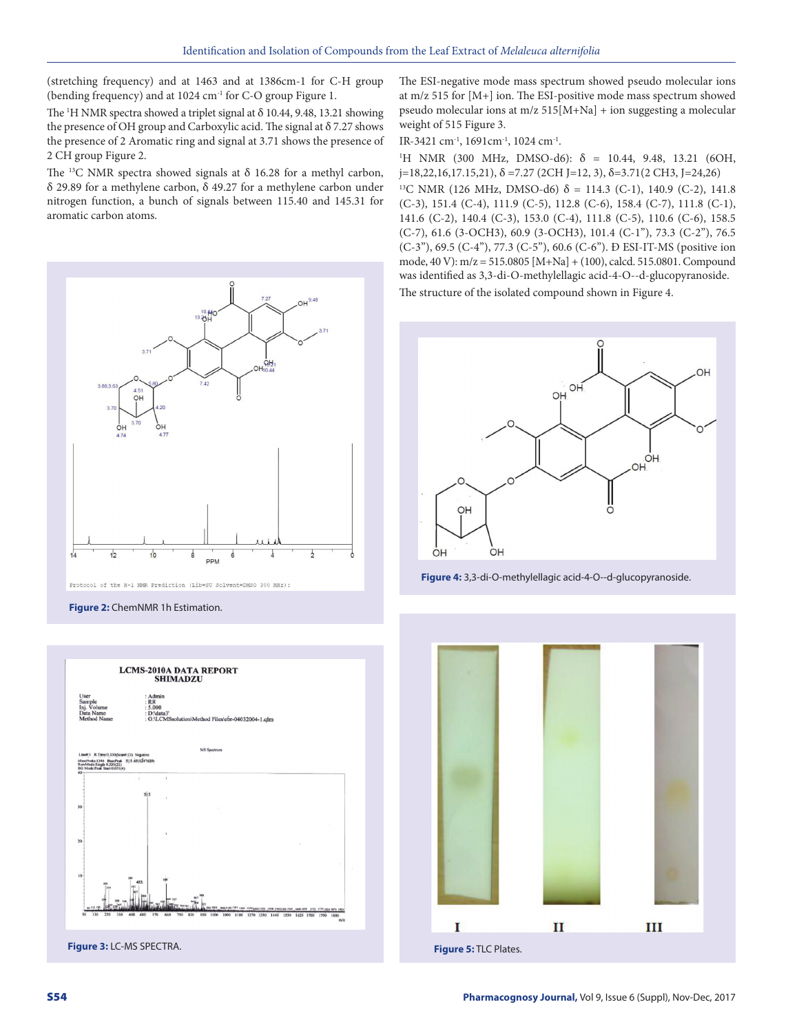(stretching frequency) and at 1463 and at 1386cm-1 for C-H group (bending frequency) and at 1024 cm-1 for C-O group Figure 1.

The  $H$  NMR spectra showed a triplet signal at  $\delta$  10.44, 9.48, 13.21 showing the presence of OH group and Carboxylic acid. The signal at  $\delta$  7.27 shows the presence of 2 Aromatic ring and signal at 3.71 shows the presence of 2 CH group Figure 2.

The <sup>13</sup>C NMR spectra showed signals at  $\delta$  16.28 for a methyl carbon, δ 29.89 for a methylene carbon, δ 49.27 for a methylene carbon under nitrogen function, a bunch of signals between 115.40 and 145.31 for aromatic carbon atoms.



Protocol of the H-1 NMR Prediction (Lib=SU Solvent=DMSO 300 MHz):

**Figure 2:** ChemNMR 1h Estimation.



The ESI-negative mode mass spectrum showed pseudo molecular ions at m/z 515 for [M+] ion. The ESI-positive mode mass spectrum showed pseudo molecular ions at m/z 515[M+Na] + ion suggesting a molecular weight of 515 Figure 3.

IR-3421 cm-1, 1691cm-1, 1024 cm-1.

<sup>1</sup>H NMR (300 MHz, DMSO-d6): δ = 10.44, 9.48, 13.21 (6OH, j=18,22,16,17.15,21), δ =7.27 (2CH J=12, 3), δ=3.71(2 CH3, J=24,26) <sup>13</sup>C NMR (126 MHz, DMSO-d6) δ = 114.3 (C-1), 140.9 (C-2), 141.8 (C-3), 151.4 (C-4), 111.9 (C-5), 112.8 (C-6), 158.4 (C-7), 111.8 (C-1), 141.6 (C-2), 140.4 (C-3), 153.0 (C-4), 111.8 (C-5), 110.6 (C-6), 158.5 (C-7), 61.6 (3-OCH3), 60.9 (3-OCH3), 101.4 (C-1"), 73.3 (C-2''), 76.5 (C-3''), 69.5 (C-4''), 77.3 (C-5''), 60.6 (C-6''). Ð ESI-IT-MS (positive ion mode, 40 V): m/z = 515.0805 [M+Na] + (100), calcd. 515.0801. Compound was identified as 3,3-di-O-methylellagic acid-4-O--d-glucopyranoside. The structure of the isolated compound shown in Figure 4.



**Figure 4:** 3,3-di-O-methylellagic acid-4-O--d-glucopyranoside.